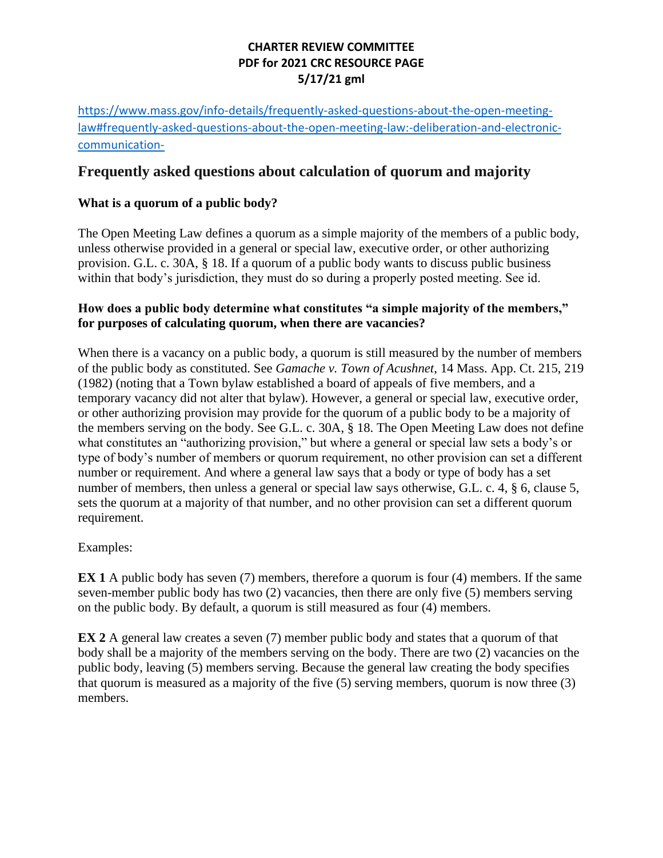## **CHARTER REVIEW COMMITTEE PDF for 2021 CRC RESOURCE PAGE 5/17/21 gml**

[https://www.mass.gov/info-details/frequently-asked-questions-about-the-open-meeting](https://www.mass.gov/info-details/frequently-asked-questions-about-the-open-meeting-law#frequently-asked-questions-about-the-open-meeting-law:-deliberation-and-electronic-communication-)[law#frequently-asked-questions-about-the-open-meeting-law:-deliberation-and-electronic](https://www.mass.gov/info-details/frequently-asked-questions-about-the-open-meeting-law#frequently-asked-questions-about-the-open-meeting-law:-deliberation-and-electronic-communication-)[communication-](https://www.mass.gov/info-details/frequently-asked-questions-about-the-open-meeting-law#frequently-asked-questions-about-the-open-meeting-law:-deliberation-and-electronic-communication-)

# **Frequently asked questions about calculation of quorum and majority**

### **What is a quorum of a public body?**

The Open Meeting Law defines a quorum as a simple majority of the members of a public body, unless otherwise provided in a general or special law, executive order, or other authorizing provision. G.L. c. 30A, § 18. If a quorum of a public body wants to discuss public business within that body's jurisdiction, they must do so during a properly posted meeting. See id.

#### **How does a public body determine what constitutes "a simple majority of the members," for purposes of calculating quorum, when there are vacancies?**

When there is a vacancy on a public body, a quorum is still measured by the number of members of the public body as constituted. See *Gamache v. Town of Acushnet*, 14 Mass. App. Ct. 215, 219 (1982) (noting that a Town bylaw established a board of appeals of five members, and a temporary vacancy did not alter that bylaw). However, a general or special law, executive order, or other authorizing provision may provide for the quorum of a public body to be a majority of the members serving on the body. See G.L. c. 30A, § 18. The Open Meeting Law does not define what constitutes an "authorizing provision," but where a general or special law sets a body's or type of body's number of members or quorum requirement, no other provision can set a different number or requirement. And where a general law says that a body or type of body has a set number of members, then unless a general or special law says otherwise, G.L. c. 4,  $\S$  6, clause 5, sets the quorum at a majority of that number, and no other provision can set a different quorum requirement.

### Examples:

**EX 1** A public body has seven (7) members, therefore a quorum is four (4) members. If the same seven-member public body has two (2) vacancies, then there are only five (5) members serving on the public body. By default, a quorum is still measured as four (4) members.

**EX 2** A general law creates a seven (7) member public body and states that a quorum of that body shall be a majority of the members serving on the body. There are two (2) vacancies on the public body, leaving (5) members serving. Because the general law creating the body specifies that quorum is measured as a majority of the five (5) serving members, quorum is now three (3) members.